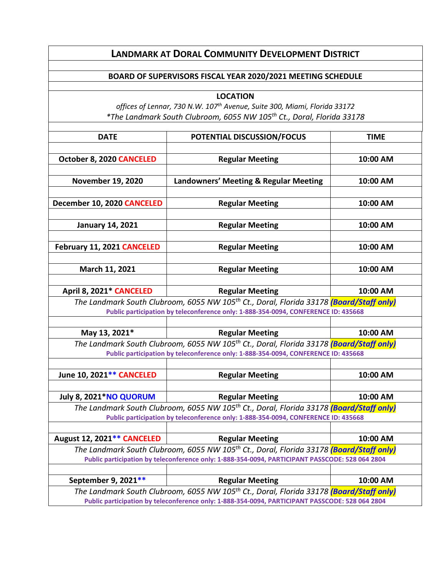## **LANDMARK AT DORAL COMMUNITY DEVELOPMENT DISTRICT**

## **BOARD OF SUPERVISORS FISCAL YEAR 2020/2021 MEETING SCHEDULE**

**LOCATION** *offices of Lennar, 730 N.W. 107th Avenue, Suite 300, Miami, Florida 33172 \*The Landmark South Clubroom, 6055 NW 105th Ct., Doral, Florida 33178* **DATE POTENTIAL DISCUSSION/FOCUS TIME October 8, 2020 CANCELED Regular Meeting 10:00 AM November 19, 2020 Landowners' Meeting & Regular Meeting 10:00 AM December 10, 2020 CANCELED Regular Meeting 10:00 AM January 14, 2021 Regular Meeting 10:00 AM February 11, 2021 CANCELED Regular Meeting 10:00 AM March 11, 2021 Regular Meeting 10:00 AM April 8, 2021\* CANCELED Regular Meeting 10:00 AM** *The Landmark South Clubroom, 6055 NW 105th Ct., Doral, Florida 33178 (Board/Staff only)* **Public participation by teleconference only: 1-888-354-0094, CONFERENCE ID: 435668 May 13, 2021\* Regular Meeting 10:00 AM** *The Landmark South Clubroom, 6055 NW 105th Ct., Doral, Florida 33178 (Board/Staff only)* **Public participation by teleconference only: 1-888-354-0094, CONFERENCE ID: 435668 June 10, 2021\*\* CANCELED Regular Meeting 10:00 AM July 8, 2021\*NO QUORUM Regular Meeting 10:00 AM** *The Landmark South Clubroom, 6055 NW 105th Ct., Doral, Florida 33178 (Board/Staff only)* **Public participation by teleconference only: 1-888-354-0094, CONFERENCE ID: 435668 August 12, 2021\*\* CANCELED Regular Meeting 10:00 AM** *The Landmark South Clubroom, 6055 NW 105th Ct., Doral, Florida 33178 (Board/Staff only)* **Public participation by teleconference only: 1-888-354-0094, PARTICIPANT PASSCODE: 528 064 2804 September 9, 2021\*\*** The Regular Meeting The Meeting The 10:00 AM

*The Landmark South Clubroom, 6055 NW 105th Ct., Doral, Florida 33178 (Board/Staff only)* **Public participation by teleconference only: 1-888-354-0094, PARTICIPANT PASSCODE: 528 064 2804**